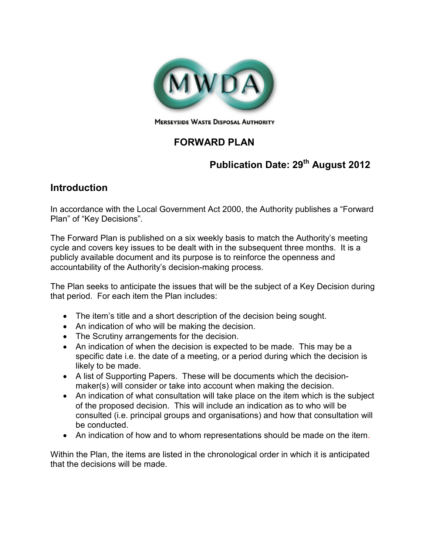

# **FORWARD PLAN**

# **Publication Date: 29th August 2012**

# **Introduction**

In accordance with the Local Government Act 2000, the Authority publishes a "Forward Plan" of "Key Decisions".

The Forward Plan is published on a six weekly basis to match the Authority's meeting cycle and covers key issues to be dealt with in the subsequent three months. It is a publicly available document and its purpose is to reinforce the openness and accountability of the Authority's decision-making process.

The Plan seeks to anticipate the issues that will be the subject of a Key Decision during that period. For each item the Plan includes:

- The item's title and a short description of the decision being sought.
- An indication of who will be making the decision.
- The Scrutiny arrangements for the decision.
- An indication of when the decision is expected to be made. This may be a specific date i.e. the date of a meeting, or a period during which the decision is likely to be made.
- A list of Supporting Papers. These will be documents which the decisionmaker(s) will consider or take into account when making the decision.
- An indication of what consultation will take place on the item which is the subject of the proposed decision. This will include an indication as to who will be consulted (i.e. principal groups and organisations) and how that consultation will be conducted.
- An indication of how and to whom representations should be made on the item.

Within the Plan, the items are listed in the chronological order in which it is anticipated that the decisions will be made.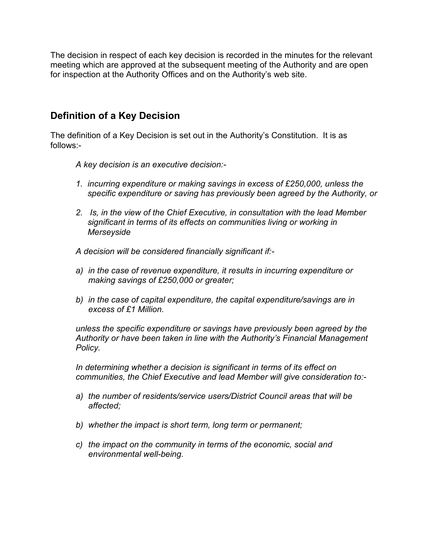The decision in respect of each key decision is recorded in the minutes for the relevant meeting which are approved at the subsequent meeting of the Authority and are open for inspection at the Authority Offices and on the Authority's web site.

## **Definition of a Key Decision**

The definition of a Key Decision is set out in the Authority's Constitution. It is as follows:-

*A key decision is an executive decision:-* 

- *1. incurring expenditure or making savings in excess of £250,000, unless the specific expenditure or saving has previously been agreed by the Authority, or*
- *2. Is, in the view of the Chief Executive, in consultation with the lead Member significant in terms of its effects on communities living or working in Merseyside*

*A decision will be considered financially significant if:-* 

- *a) in the case of revenue expenditure, it results in incurring expenditure or making savings of £250,000 or greater;*
- *b) in the case of capital expenditure, the capital expenditure/savings are in excess of £1 Million.*

*unless the specific expenditure or savings have previously been agreed by the Authority or have been taken in line with the Authority's Financial Management Policy.* 

In determining whether a decision is significant in terms of its effect on *communities, the Chief Executive and lead Member will give consideration to:-* 

- *a) the number of residents/service users/District Council areas that will be affected;*
- *b) whether the impact is short term, long term or permanent;*
- *c) the impact on the community in terms of the economic, social and environmental well-being.*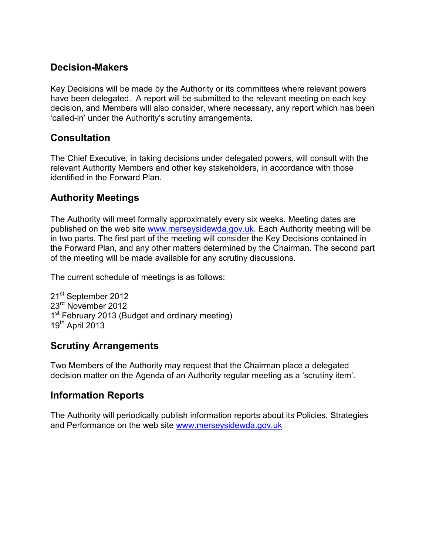## **Decision-Makers**

Key Decisions will be made by the Authority or its committees where relevant powers have been delegated. A report will be submitted to the relevant meeting on each key decision, and Members will also consider, where necessary, any report which has been 'called-in' under the Authority's scrutiny arrangements.

## **Consultation**

The Chief Executive, in taking decisions under delegated powers, will consult with the relevant Authority Members and other key stakeholders, in accordance with those identified in the Forward Plan.

## **Authority Meetings**

The Authority will meet formally approximately every six weeks. Meeting dates are published on the web site www.merseysidewda.gov.uk. Each Authority meeting will be in two parts. The first part of the meeting will consider the Key Decisions contained in the Forward Plan, and any other matters determined by the Chairman. The second part of the meeting will be made available for any scrutiny discussions.

The current schedule of meetings is as follows:

21<sup>st</sup> September 2012 23<sup>rd</sup> November 2012 1<sup>st</sup> February 2013 (Budget and ordinary meeting)  $19<sup>th</sup>$  April 2013

## **Scrutiny Arrangements**

Two Members of the Authority may request that the Chairman place a delegated decision matter on the Agenda of an Authority regular meeting as a 'scrutiny item'.

## **Information Reports**

The Authority will periodically publish information reports about its Policies, Strategies and Performance on the web site www.merseysidewda.gov.uk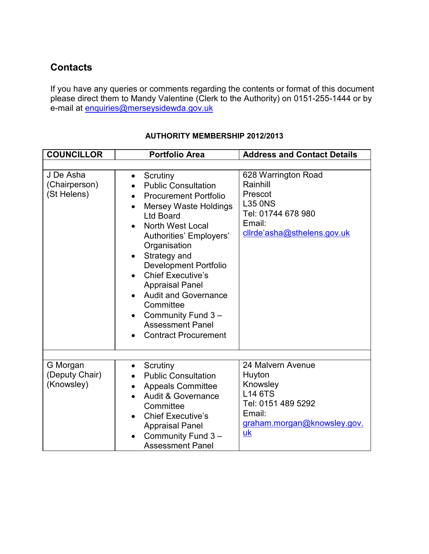# **Contacts**

If you have any queries or comments regarding the contents or format of this document please direct them to Mandy Valentine (Clerk to the Authority) on 0151-255-1444 or by e-mail at <u>enquiries@merseysidewda.gov.uk</u>

| <b>COUNCILLOR</b>                         | <b>Portfolio Area</b>                                                                                                                                                                                                                                                                                                                                                                                                                                                                                                              | <b>Address and Contact Details</b>                                                                                                           |
|-------------------------------------------|------------------------------------------------------------------------------------------------------------------------------------------------------------------------------------------------------------------------------------------------------------------------------------------------------------------------------------------------------------------------------------------------------------------------------------------------------------------------------------------------------------------------------------|----------------------------------------------------------------------------------------------------------------------------------------------|
|                                           |                                                                                                                                                                                                                                                                                                                                                                                                                                                                                                                                    |                                                                                                                                              |
| J De Asha<br>(Chairperson)<br>(St Helens) | Scrutiny<br>$\bullet$<br><b>Public Consultation</b><br><b>Procurement Portfolio</b><br>$\bullet$<br><b>Mersey Waste Holdings</b><br>$\bullet$<br><b>Ltd Board</b><br>North West Local<br>$\bullet$<br>Authorities' Employers'<br>Organisation<br>Strategy and<br>$\bullet$<br><b>Development Portfolio</b><br><b>Chief Executive's</b><br>$\bullet$<br><b>Appraisal Panel</b><br><b>Audit and Governance</b><br>$\bullet$<br>Committee<br>Community Fund 3-<br>$\bullet$<br><b>Assessment Panel</b><br><b>Contract Procurement</b> | 628 Warrington Road<br>Rainhill<br>Prescot<br><b>L35 ONS</b><br>Tel: 01744 678 980<br>Email:<br>clirde'asha@sthelens.gov.uk                  |
| G Morgan<br>(Deputy Chair)<br>(Knowsley)  | Scrutiny<br>$\bullet$<br><b>Public Consultation</b><br><b>Appeals Committee</b><br>Audit & Governance<br>$\bullet$<br>Committee<br><b>Chief Executive's</b><br>$\bullet$<br><b>Appraisal Panel</b><br>Community Fund 3-<br>$\bullet$<br><b>Assessment Panel</b>                                                                                                                                                                                                                                                                    | 24 Malvern Avenue<br>Huyton<br>Knowsley<br><b>L14 6TS</b><br>Tel: 0151 489 5292<br>Email:<br>graham.morgan@knowsley.gov.<br>$\underline{uk}$ |

#### **AUTHORITY MEMBERSHIP 2012/2013**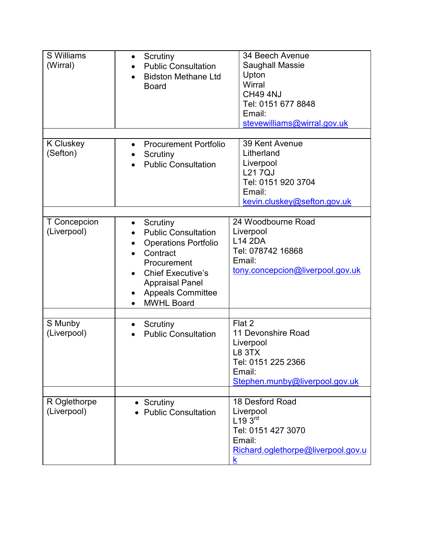| S Williams<br>(Wirral)       | Scrutiny<br>$\bullet$<br><b>Public Consultation</b><br><b>Bidston Methane Ltd</b><br><b>Board</b>                                                                                                                         | 34 Beech Avenue<br>Saughall Massie<br>Upton<br>Wirral<br><b>CH49 4NJ</b><br>Tel: 0151 677 8848<br>Email:<br>stevewilliams@wirral.gov.uk |
|------------------------------|---------------------------------------------------------------------------------------------------------------------------------------------------------------------------------------------------------------------------|-----------------------------------------------------------------------------------------------------------------------------------------|
| <b>K</b> Cluskey<br>(Sefton) | <b>Procurement Portfolio</b><br>Scrutiny<br><b>Public Consultation</b>                                                                                                                                                    | 39 Kent Avenue<br>Litherland<br>Liverpool<br><b>L217QJ</b><br>Tel: 0151 920 3704<br>Email:<br>kevin.cluskey@sefton.gov.uk               |
| T Concepcion<br>(Liverpool)  | Scrutiny<br>$\bullet$<br><b>Public Consultation</b><br><b>Operations Portfolio</b><br>Contract<br>Procurement<br><b>Chief Executive's</b><br><b>Appraisal Panel</b><br><b>Appeals Committee</b><br>٠<br><b>MWHL Board</b> | 24 Woodbourne Road<br>Liverpool<br><b>L14 2DA</b><br>Tel: 078742 16868<br>Email:<br>tony.concepcion@liverpool.gov.uk                    |
| S Munby<br>(Liverpool)       | Scrutiny<br>$\bullet$<br><b>Public Consultation</b>                                                                                                                                                                       | Flat 2<br>11 Devonshire Road<br>Liverpool<br><b>L8 3TX</b><br>Tel: 0151 225 2366<br>Email:<br>Stephen.munby@liverpool.gov.uk            |
| R Oglethorpe<br>(Liverpool)  | Scrutiny<br><b>Public Consultation</b>                                                                                                                                                                                    | 18 Desford Road<br>Liverpool<br>L193 <sup>rd</sup><br>Tel: 0151 427 3070<br>Email:<br>Richard.oglethorpe@liverpool.gov.u<br>k           |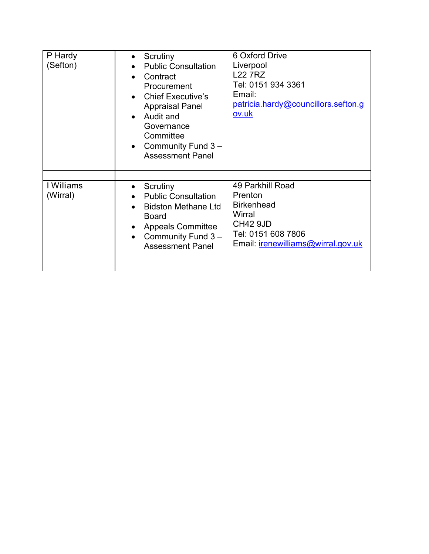| P Hardy<br>(Sefton)    | Scrutiny<br><b>Public Consultation</b><br>Contract<br>Procurement<br><b>Chief Executive's</b><br><b>Appraisal Panel</b><br>Audit and<br>Governance<br>Committee<br>Community Fund 3-<br>$\bullet$<br><b>Assessment Panel</b> | 6 Oxford Drive<br>Liverpool<br><b>L22 7RZ</b><br>Tel: 0151 934 3361<br>Email:<br>patricia.hardy@councillors.sefton.g<br>ov.uk                    |
|------------------------|------------------------------------------------------------------------------------------------------------------------------------------------------------------------------------------------------------------------------|--------------------------------------------------------------------------------------------------------------------------------------------------|
| I Williams<br>(Wirral) | Scrutiny<br><b>Public Consultation</b><br><b>Bidston Methane Ltd</b><br><b>Board</b><br><b>Appeals Committee</b><br>Community Fund 3-<br><b>Assessment Panel</b>                                                             | 49 Parkhill Road<br>Prenton<br><b>Birkenhead</b><br>Wirral<br><b>CH42 9JD</b><br>Tel: 0151 608 7806<br>Email: <i>irenewilliams@wirral.gov.uk</i> |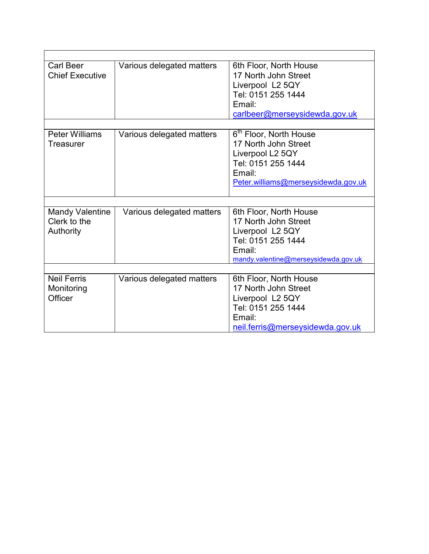| <b>Carl Beer</b>       | Various delegated matters | 6th Floor, North House               |
|------------------------|---------------------------|--------------------------------------|
| <b>Chief Executive</b> |                           | 17 North John Street                 |
|                        |                           | Liverpool L2 5QY                     |
|                        |                           | Tel: 0151 255 1444                   |
|                        |                           | Email:                               |
|                        |                           | carlbeer@merseysidewda.gov.uk        |
|                        |                           |                                      |
| <b>Peter Williams</b>  | Various delegated matters | 6 <sup>th</sup> Floor, North House   |
| Treasurer              |                           | 17 North John Street                 |
|                        |                           | Liverpool L2 5QY                     |
|                        |                           | Tel: 0151 255 1444                   |
|                        |                           | Email:                               |
|                        |                           | Peter.williams@merseysidewda.gov.uk  |
|                        |                           |                                      |
|                        |                           |                                      |
| <b>Mandy Valentine</b> | Various delegated matters | 6th Floor, North House               |
| Clerk to the           |                           | 17 North John Street                 |
| Authority              |                           | Liverpool L2 5QY                     |
|                        |                           | Tel: 0151 255 1444                   |
|                        |                           | Email:                               |
|                        |                           | mandy.valentine@merseysidewda.gov.uk |
|                        |                           |                                      |
| <b>Neil Ferris</b>     | Various delegated matters | 6th Floor, North House               |
| Monitoring             |                           | 17 North John Street                 |
| Officer                |                           | Liverpool L2 5QY                     |
|                        |                           | Tel: 0151 255 1444                   |
|                        |                           | Email:                               |
|                        |                           | neil.ferris@merseysidewda.gov.uk     |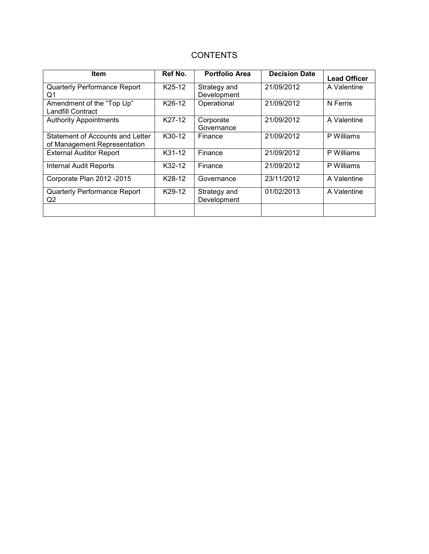#### **CONTENTS**

| <b>Item</b>                                                      | Ref No. | <b>Portfolio Area</b>       | <b>Decision Date</b> | <b>Lead Officer</b> |
|------------------------------------------------------------------|---------|-----------------------------|----------------------|---------------------|
| Quarterly Performance Report<br>Q1                               | K25-12  | Strategy and<br>Development | 21/09/2012           | A Valentine         |
| Amendment of the "Top Up"<br><b>Landfill Contract</b>            | K26-12  | Operational                 | 21/09/2012           | N Ferris            |
| <b>Authority Appointments</b>                                    | K27-12  | Corporate<br>Governance     | 21/09/2012           | A Valentine         |
| Statement of Accounts and Letter<br>of Management Representation | K30-12  | Finance                     | 21/09/2012           | P Williams          |
| <b>External Auditor Report</b>                                   | K31-12  | Finance                     | 21/09/2012           | P Williams          |
| <b>Internal Audit Reports</b>                                    | K32-12  | Finance                     | 21/09/2012           | P Williams          |
| Corporate Plan 2012 - 2015                                       | K28-12  | Governance                  | 23/11/2012           | A Valentine         |
| <b>Quarterly Performance Report</b><br>Q <sub>2</sub>            | K29-12  | Strategy and<br>Development | 01/02/2013           | A Valentine         |
|                                                                  |         |                             |                      |                     |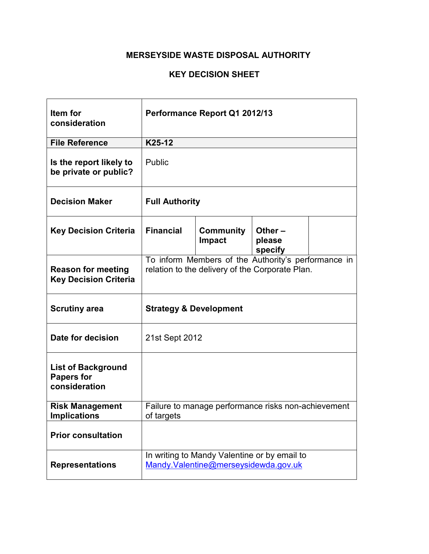| Item for<br>consideration                                       | Performance Report Q1 2012/13                                                                          |                                                                                      |                                |  |  |
|-----------------------------------------------------------------|--------------------------------------------------------------------------------------------------------|--------------------------------------------------------------------------------------|--------------------------------|--|--|
| <b>File Reference</b>                                           | K25-12                                                                                                 |                                                                                      |                                |  |  |
| Is the report likely to<br>be private or public?                | Public                                                                                                 |                                                                                      |                                |  |  |
| <b>Decision Maker</b>                                           | <b>Full Authority</b>                                                                                  |                                                                                      |                                |  |  |
| <b>Key Decision Criteria</b>                                    | <b>Financial</b>                                                                                       | <b>Community</b><br><b>Impact</b>                                                    | Other $-$<br>please<br>specify |  |  |
| <b>Reason for meeting</b><br><b>Key Decision Criteria</b>       | To inform Members of the Authority's performance in<br>relation to the delivery of the Corporate Plan. |                                                                                      |                                |  |  |
| <b>Scrutiny area</b>                                            | <b>Strategy &amp; Development</b>                                                                      |                                                                                      |                                |  |  |
| Date for decision                                               | 21st Sept 2012                                                                                         |                                                                                      |                                |  |  |
| <b>List of Background</b><br><b>Papers for</b><br>consideration |                                                                                                        |                                                                                      |                                |  |  |
| <b>Risk Management</b><br><b>Implications</b>                   | Failure to manage performance risks non-achievement<br>of targets                                      |                                                                                      |                                |  |  |
| <b>Prior consultation</b>                                       |                                                                                                        |                                                                                      |                                |  |  |
| <b>Representations</b>                                          |                                                                                                        | In writing to Mandy Valentine or by email to<br>Mandy.Valentine@merseysidewda.gov.uk |                                |  |  |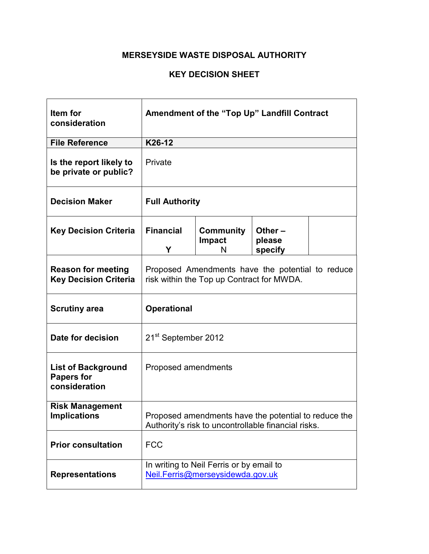#### **KEY DECISION SHEET**

| Item for<br>consideration                                       | Amendment of the "Top Up" Landfill Contract                                                                 |                                                                              |  |  |  |
|-----------------------------------------------------------------|-------------------------------------------------------------------------------------------------------------|------------------------------------------------------------------------------|--|--|--|
| <b>File Reference</b>                                           | K26-12                                                                                                      |                                                                              |  |  |  |
| Is the report likely to<br>be private or public?                | Private                                                                                                     |                                                                              |  |  |  |
| <b>Decision Maker</b>                                           | <b>Full Authority</b>                                                                                       |                                                                              |  |  |  |
| <b>Key Decision Criteria</b>                                    | <b>Financial</b><br>Community<br>Other-<br><b>Impact</b><br>please<br>Υ<br>specify<br>N                     |                                                                              |  |  |  |
| <b>Reason for meeting</b><br><b>Key Decision Criteria</b>       | Proposed Amendments have the potential to reduce<br>risk within the Top up Contract for MWDA.               |                                                                              |  |  |  |
| <b>Scrutiny area</b>                                            | <b>Operational</b>                                                                                          |                                                                              |  |  |  |
| Date for decision                                               | 21 <sup>st</sup> September 2012                                                                             |                                                                              |  |  |  |
| <b>List of Background</b><br><b>Papers for</b><br>consideration | Proposed amendments                                                                                         |                                                                              |  |  |  |
| <b>Risk Management</b><br><b>Implications</b>                   | Proposed amendments have the potential to reduce the<br>Authority's risk to uncontrollable financial risks. |                                                                              |  |  |  |
| <b>Prior consultation</b>                                       | <b>FCC</b>                                                                                                  |                                                                              |  |  |  |
| <b>Representations</b>                                          |                                                                                                             | In writing to Neil Ferris or by email to<br>Neil.Ferris@merseysidewda.gov.uk |  |  |  |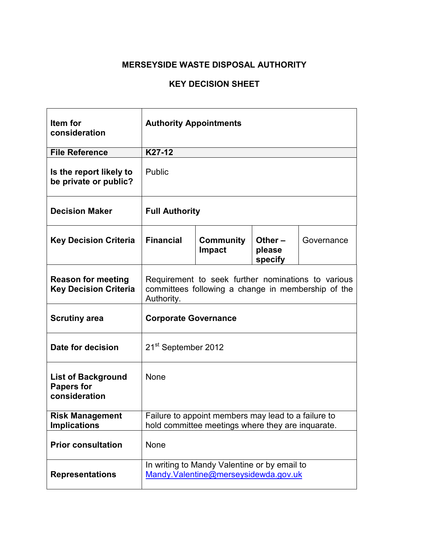| Item for<br>consideration                                       | <b>Authority Appointments</b>                                                                                          |                                                                                      |  |  |  |
|-----------------------------------------------------------------|------------------------------------------------------------------------------------------------------------------------|--------------------------------------------------------------------------------------|--|--|--|
| <b>File Reference</b>                                           | K27-12                                                                                                                 |                                                                                      |  |  |  |
| Is the report likely to<br>be private or public?                | Public                                                                                                                 |                                                                                      |  |  |  |
| <b>Decision Maker</b>                                           | <b>Full Authority</b>                                                                                                  |                                                                                      |  |  |  |
| <b>Key Decision Criteria</b>                                    | <b>Financial</b><br>Community<br>Other $-$<br>Governance<br><b>Impact</b><br>please<br>specify                         |                                                                                      |  |  |  |
| <b>Reason for meeting</b><br><b>Key Decision Criteria</b>       | Requirement to seek further nominations to various<br>committees following a change in membership of the<br>Authority. |                                                                                      |  |  |  |
| <b>Scrutiny area</b>                                            | <b>Corporate Governance</b>                                                                                            |                                                                                      |  |  |  |
| Date for decision                                               | 21 <sup>st</sup> September 2012                                                                                        |                                                                                      |  |  |  |
| <b>List of Background</b><br><b>Papers for</b><br>consideration | None                                                                                                                   |                                                                                      |  |  |  |
| <b>Risk Management</b><br><b>Implications</b>                   | Failure to appoint members may lead to a failure to<br>hold committee meetings where they are inquarate.               |                                                                                      |  |  |  |
| <b>Prior consultation</b>                                       | None                                                                                                                   |                                                                                      |  |  |  |
| <b>Representations</b>                                          |                                                                                                                        | In writing to Mandy Valentine or by email to<br>Mandy.Valentine@merseysidewda.gov.uk |  |  |  |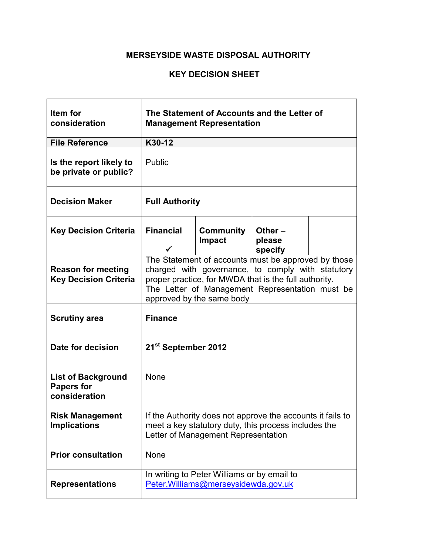#### **KEY DECISION SHEET**

 $\mathbf{r}$ 

| Item for<br>consideration                                       |                                                                                                                                                                                                                                                   | The Statement of Accounts and the Letter of<br><b>Management Representation</b>     |                                |  |  |
|-----------------------------------------------------------------|---------------------------------------------------------------------------------------------------------------------------------------------------------------------------------------------------------------------------------------------------|-------------------------------------------------------------------------------------|--------------------------------|--|--|
| <b>File Reference</b>                                           | K30-12                                                                                                                                                                                                                                            |                                                                                     |                                |  |  |
| Is the report likely to<br>be private or public?                | Public                                                                                                                                                                                                                                            |                                                                                     |                                |  |  |
| <b>Decision Maker</b>                                           | <b>Full Authority</b>                                                                                                                                                                                                                             |                                                                                     |                                |  |  |
| <b>Key Decision Criteria</b>                                    | <b>Financial</b>                                                                                                                                                                                                                                  | Community<br>Impact                                                                 | Other $-$<br>please<br>specify |  |  |
| <b>Reason for meeting</b><br><b>Key Decision Criteria</b>       | The Statement of accounts must be approved by those<br>charged with governance, to comply with statutory<br>proper practice, for MWDA that is the full authority.<br>The Letter of Management Representation must be<br>approved by the same body |                                                                                     |                                |  |  |
| <b>Scrutiny area</b>                                            | <b>Finance</b>                                                                                                                                                                                                                                    |                                                                                     |                                |  |  |
| Date for decision                                               | 21 <sup>st</sup> September 2012                                                                                                                                                                                                                   |                                                                                     |                                |  |  |
| <b>List of Background</b><br><b>Papers for</b><br>consideration | None                                                                                                                                                                                                                                              |                                                                                     |                                |  |  |
| <b>Risk Management</b><br><b>Implications</b>                   | If the Authority does not approve the accounts it fails to<br>meet a key statutory duty, this process includes the<br>Letter of Management Representation                                                                                         |                                                                                     |                                |  |  |
| <b>Prior consultation</b>                                       | None                                                                                                                                                                                                                                              |                                                                                     |                                |  |  |
| <b>Representations</b>                                          |                                                                                                                                                                                                                                                   | In writing to Peter Williams or by email to<br>Peter. Williams@merseysidewda.gov.uk |                                |  |  |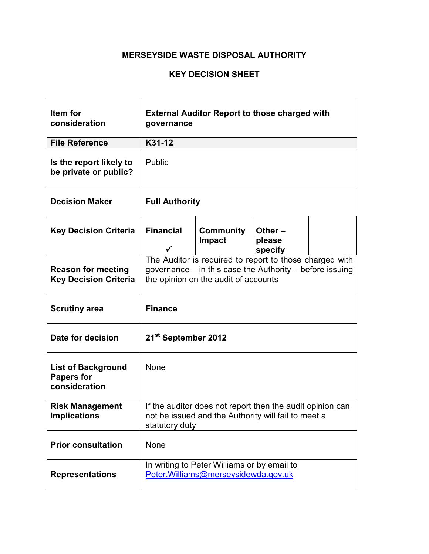#### **KEY DECISION SHEET**

 $\mathbf{r}$ 

| Item for<br>consideration                                       | <b>External Auditor Report to those charged with</b><br>governance                                                                                          |                                                                                     |                                |  |  |
|-----------------------------------------------------------------|-------------------------------------------------------------------------------------------------------------------------------------------------------------|-------------------------------------------------------------------------------------|--------------------------------|--|--|
| <b>File Reference</b>                                           | K31-12                                                                                                                                                      |                                                                                     |                                |  |  |
| Is the report likely to<br>be private or public?                | Public                                                                                                                                                      |                                                                                     |                                |  |  |
| <b>Decision Maker</b>                                           | <b>Full Authority</b>                                                                                                                                       |                                                                                     |                                |  |  |
| <b>Key Decision Criteria</b>                                    | <b>Financial</b><br>✓                                                                                                                                       | <b>Community</b><br><b>Impact</b>                                                   | Other $-$<br>please<br>specify |  |  |
| <b>Reason for meeting</b><br><b>Key Decision Criteria</b>       | The Auditor is required to report to those charged with<br>governance - in this case the Authority - before issuing<br>the opinion on the audit of accounts |                                                                                     |                                |  |  |
| <b>Scrutiny area</b>                                            | <b>Finance</b>                                                                                                                                              |                                                                                     |                                |  |  |
| Date for decision                                               | 21 <sup>st</sup> September 2012                                                                                                                             |                                                                                     |                                |  |  |
| <b>List of Background</b><br><b>Papers for</b><br>consideration | None                                                                                                                                                        |                                                                                     |                                |  |  |
| <b>Risk Management</b><br><b>Implications</b>                   | If the auditor does not report then the audit opinion can<br>not be issued and the Authority will fail to meet a<br>statutory duty                          |                                                                                     |                                |  |  |
| <b>Prior consultation</b>                                       | None                                                                                                                                                        |                                                                                     |                                |  |  |
| <b>Representations</b>                                          |                                                                                                                                                             | In writing to Peter Williams or by email to<br>Peter. Williams@merseysidewda.gov.uk |                                |  |  |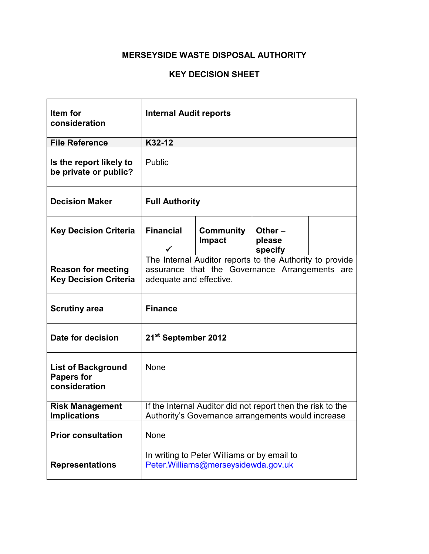| Item for<br>consideration                                       | <b>Internal Audit reports</b>                                                                                                         |                                                                                                                   |                                |  |  |
|-----------------------------------------------------------------|---------------------------------------------------------------------------------------------------------------------------------------|-------------------------------------------------------------------------------------------------------------------|--------------------------------|--|--|
| <b>File Reference</b>                                           | K32-12                                                                                                                                |                                                                                                                   |                                |  |  |
| Is the report likely to<br>be private or public?                | Public                                                                                                                                |                                                                                                                   |                                |  |  |
| <b>Decision Maker</b>                                           | <b>Full Authority</b>                                                                                                                 |                                                                                                                   |                                |  |  |
| <b>Key Decision Criteria</b>                                    | <b>Financial</b><br>$\checkmark$                                                                                                      | Community<br><b>Impact</b>                                                                                        | Other $-$<br>please<br>specify |  |  |
| <b>Reason for meeting</b><br><b>Key Decision Criteria</b>       | The Internal Auditor reports to the Authority to provide<br>assurance that the Governance Arrangements are<br>adequate and effective. |                                                                                                                   |                                |  |  |
| <b>Scrutiny area</b>                                            | <b>Finance</b>                                                                                                                        |                                                                                                                   |                                |  |  |
| Date for decision                                               | 21 <sup>st</sup> September 2012                                                                                                       |                                                                                                                   |                                |  |  |
| <b>List of Background</b><br><b>Papers for</b><br>consideration | None                                                                                                                                  |                                                                                                                   |                                |  |  |
| <b>Risk Management</b><br><b>Implications</b>                   |                                                                                                                                       | If the Internal Auditor did not report then the risk to the<br>Authority's Governance arrangements would increase |                                |  |  |
| <b>Prior consultation</b>                                       | None                                                                                                                                  |                                                                                                                   |                                |  |  |
| <b>Representations</b>                                          |                                                                                                                                       | In writing to Peter Williams or by email to<br>Peter. Williams@merseysidewda.gov.uk                               |                                |  |  |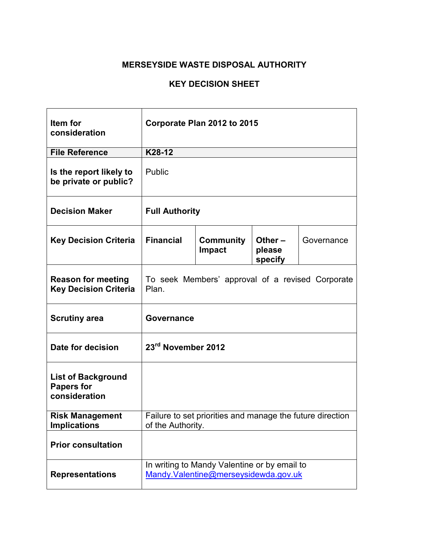| Item for<br>consideration                                       | Corporate Plan 2012 to 2015                                                                    |                                                                                      |  |  |  |
|-----------------------------------------------------------------|------------------------------------------------------------------------------------------------|--------------------------------------------------------------------------------------|--|--|--|
| <b>File Reference</b>                                           | K28-12                                                                                         |                                                                                      |  |  |  |
| Is the report likely to<br>be private or public?                | Public                                                                                         |                                                                                      |  |  |  |
| <b>Decision Maker</b>                                           | <b>Full Authority</b>                                                                          |                                                                                      |  |  |  |
| <b>Key Decision Criteria</b>                                    | <b>Financial</b><br>Community<br>Other $-$<br>Governance<br><b>Impact</b><br>please<br>specify |                                                                                      |  |  |  |
| <b>Reason for meeting</b><br><b>Key Decision Criteria</b>       | To seek Members' approval of a revised Corporate<br>Plan.                                      |                                                                                      |  |  |  |
| <b>Scrutiny area</b>                                            | <b>Governance</b>                                                                              |                                                                                      |  |  |  |
| Date for decision                                               | 23rd November 2012                                                                             |                                                                                      |  |  |  |
| <b>List of Background</b><br><b>Papers for</b><br>consideration |                                                                                                |                                                                                      |  |  |  |
| <b>Risk Management</b><br><b>Implications</b>                   | Failure to set priorities and manage the future direction<br>of the Authority.                 |                                                                                      |  |  |  |
| <b>Prior consultation</b>                                       |                                                                                                |                                                                                      |  |  |  |
| <b>Representations</b>                                          |                                                                                                | In writing to Mandy Valentine or by email to<br>Mandy.Valentine@merseysidewda.gov.uk |  |  |  |